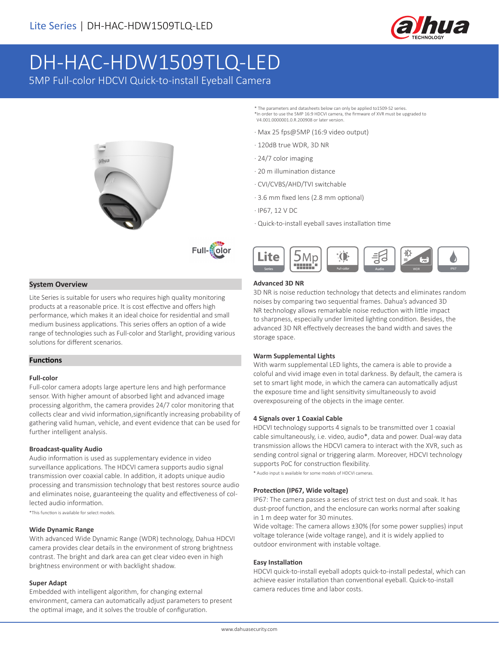

# DH-HAC-HDW1509TLQ-LED

5MP Full-color HDCVI Quick-to-install Eyeball Camera





# **System Overview**

Lite Series is suitable for users who requires high quality monitoring products at a reasonable price. It is cost effective and offers high performance, which makes it an ideal choice for residential and small medium business applications. This series offers an option of a wide range of technologies such as Full-color and Starlight, providing various solutions for different scenarios.

## **Functions**

## **Full-color**

Full-color camera adopts large aperture lens and high performance sensor. With higher amount of absorbed light and advanced image processing algorithm, the camera provides 24/7 color monitoring that collects clear and vivid information,significantly increasing probability of gathering valid human, vehicle, and event evidence that can be used for further intelligent analysis.

## **Broadcast-quality Audio**

Audio information is used as supplementary evidence in video surveillance applications. The HDCVI camera supports audio signal transmission over coaxial cable. In addition, it adopts unique audio processing and transmission technology that best restores source audio and eliminates noise, guaranteeing the quality and effectiveness of collected audio information.

\*This function is available for select models.

#### **Wide Dynamic Range**

With advanced Wide Dynamic Range (WDR) technology, Dahua HDCVI camera provides clear details in the environment of strong brightness contrast. The bright and dark area can get clear video even in high brightness environment or with backlight shadow.

#### **Super Adapt**

Embedded with intelligent algorithm, for changing external environment, camera can automatically adjust parameters to present the optimal image, and it solves the trouble of configuration.

\* The parameters and datasheets below can only be applied to1509-S2 series. \*In order to use the 5MP 16:9 HDCVI camera, the firmware of XVR must be upgraded to V4.001.0000001.0.R.200908 or later version.

- · Max 25 fps@5MP (16:9 video output)
- · 120dB true WDR, 3D NR
- · 24/7 color imaging
- · 20 m illumination distance
- · CVI/CVBS/AHD/TVI switchable
- · 3.6 mm fixed lens (2.8 mm optional)
- · IP67, 12 V DC
- · Quick-to-install eyeball saves installation time



#### **Advanced 3D NR**

3D NR is noise reduction technology that detects and eliminates random noises by comparing two sequential frames. Dahua's advanced 3D NR technology allows remarkable noise reduction with little impact to sharpness, especially under limited lighting condition. Besides, the advanced 3D NR effectively decreases the band width and saves the storage space.

#### **Warm Supplemental Lights**

With warm supplemental LED lights, the camera is able to provide a coloful and vivid image even in total darkness. By default, the camera is set to smart light mode, in which the camera can automatically adjust the exposure time and light sensitivity simultaneously to avoid overexposureing of the objects in the image center.

#### **4 Signals over 1 Coaxial Cable**

HDCVI technology supports 4 signals to be transmitted over 1 coaxial cable simultaneously, i.e. video, audio\*, data and power. Dual-way data transmission allows the HDCVI camera to interact with the XVR, such as sending control signal or triggering alarm. Moreover, HDCVI technology supports PoC for construction flexibility.

\* Audio input is available for some models of HDCVI cameras.

#### **Protection (IP67, Wide voltage)**

IP67: The camera passes a series of strict test on dust and soak. It has dust-proof function, and the enclosure can works normal after soaking in 1 m deep water for 30 minutes.

Wide voltage: The camera allows ±30% (for some power supplies) input voltage tolerance (wide voltage range), and it is widely applied to outdoor environment with instable voltage.

#### **Easy Installation**

HDCVI quick-to-install eyeball adopts quick-to-install pedestal, which can achieve easier installation than conventional eyeball. Quick-to-install camera reduces time and labor costs.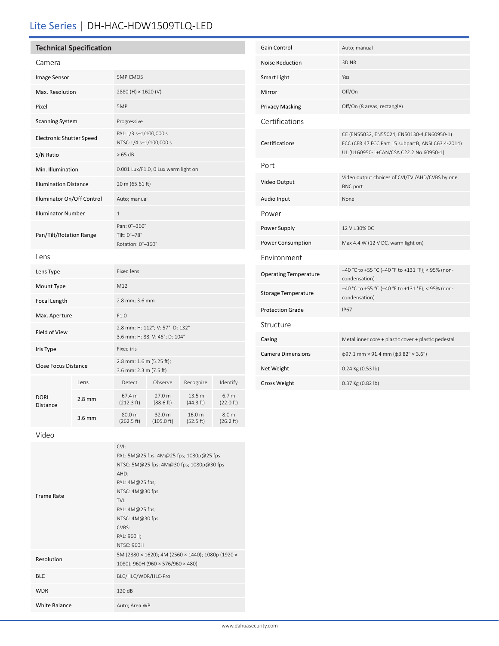# Lite Series | DH-HAC-HDW1509TLQ-LED

# **Technical Specification**

| Camera                          |          |                                                                    |                      |                     |                               |
|---------------------------------|----------|--------------------------------------------------------------------|----------------------|---------------------|-------------------------------|
| Image Sensor                    |          | <b>5MP CMOS</b>                                                    |                      |                     |                               |
| Max. Resolution                 |          | 2880 (H) × 1620 (V)                                                |                      |                     |                               |
| Pixel                           |          | 5MP                                                                |                      |                     |                               |
| <b>Scanning System</b>          |          | Progressive                                                        |                      |                     |                               |
| <b>Electronic Shutter Speed</b> |          | PAL:1/3 s-1/100,000 s<br>NTSC:1/4 s-1/100,000 s                    |                      |                     |                               |
| S/N Ratio                       |          | >65 dB                                                             |                      |                     |                               |
| Min. Illumination               |          | 0.001 Lux/F1.0, 0 Lux warm light on                                |                      |                     |                               |
| <b>Illumination Distance</b>    |          | 20 m (65.61 ft)                                                    |                      |                     |                               |
| Illuminator On/Off Control      |          | Auto; manual                                                       |                      |                     |                               |
| <b>Illuminator Number</b>       |          | $\mathbf{1}$                                                       |                      |                     |                               |
| Pan/Tilt/Rotation Range         |          | Pan: 0°-360°<br>Tilt: 0°-78°<br>Rotation: 0°-360°                  |                      |                     |                               |
| Lens                            |          |                                                                    |                      |                     |                               |
| Lens Type                       |          | <b>Fixed lens</b>                                                  |                      |                     |                               |
| Mount Type                      |          | M12                                                                |                      |                     |                               |
| <b>Focal Length</b>             |          | 2.8 mm; 3.6 mm                                                     |                      |                     |                               |
| Max. Aperture                   |          | F1.0                                                               |                      |                     |                               |
| Field of View                   |          | 2.8 mm: H: 112°; V: 57°; D: 132°<br>3.6 mm: H: 88; V: 46°; D: 104° |                      |                     |                               |
| Iris Type                       |          | <b>Fixed iris</b>                                                  |                      |                     |                               |
| <b>Close Focus Distance</b>     |          | 2.8 mm: 1.6 m (5.25 ft);<br>3.6 mm: 2.3 m (7.5 ft)                 |                      |                     |                               |
| DORI<br><b>Distance</b>         | Lens     | Detect                                                             | Observe              | Recognize           | Identify                      |
|                                 | $2.8$ mm | 67.4 m<br>(212.3 ft)                                               | 27.0 m<br>(88.6 ft)  | 13.5 m<br>(44.3 ft) | 6.7 <sub>m</sub><br>(22.0 ft) |
|                                 | $3.6$ mm | 80.0 m<br>(262.5 ft)                                               | 32.0 m<br>(105.0 ft) | 16.0 m<br>(52.5 ft) | 8.0 <sub>m</sub><br>(26.2 ft) |

| <b>Gain Control</b>          | Auto; manual                                                                                                                                |  |
|------------------------------|---------------------------------------------------------------------------------------------------------------------------------------------|--|
| <b>Noise Reduction</b>       | 3D <sub>NR</sub>                                                                                                                            |  |
| Smart Light                  | Yes                                                                                                                                         |  |
| Mirror                       | Off/On                                                                                                                                      |  |
| <b>Privacy Masking</b>       | Off/On (8 areas, rectangle)                                                                                                                 |  |
| Certifications               |                                                                                                                                             |  |
| Certifications               | CE (EN55032, EN55024, EN50130-4,EN60950-1)<br>FCC (CFR 47 FCC Part 15 subpartB, ANSI C63.4-2014)<br>UL (UL60950-1+CAN/CSA C22.2 No.60950-1) |  |
| Port                         |                                                                                                                                             |  |
| Video Output                 | Video output choices of CVI/TVI/AHD/CVBS by one<br><b>BNC</b> port                                                                          |  |
| Audio Input                  | None                                                                                                                                        |  |
| Power                        |                                                                                                                                             |  |
| Power Supply                 | 12 V ±30% DC                                                                                                                                |  |
| Power Consumption            | Max 4.4 W (12 V DC, warm light on)                                                                                                          |  |
| Environment                  |                                                                                                                                             |  |
| <b>Operating Temperature</b> | -40 °C to +55 °C (-40 °F to +131 °F); < 95% (non-<br>condensation)                                                                          |  |
| <b>Storage Temperature</b>   | -40 °C to +55 °C (-40 °F to +131 °F); < 95% (non-<br>condensation)                                                                          |  |
| <b>Protection Grade</b>      | <b>IP67</b>                                                                                                                                 |  |
| Structure                    |                                                                                                                                             |  |
| Casing                       | Metal inner core + plastic cover + plastic pedestal                                                                                         |  |
| <b>Camera Dimensions</b>     | $\phi$ 97.1 mm × 91.4 mm ( $\phi$ 3.82" × 3.6")                                                                                             |  |
| Net Weight                   | 0.24 Kg (0.53 lb)                                                                                                                           |  |
| <b>Gross Weight</b>          | 0.37 Kg (0.82 lb)                                                                                                                           |  |

Video

| Frame Rate           | CVI:<br>PAL: 5M@25 fps; 4M@25 fps; 1080p@25 fps<br>NTSC: 5M@25 fps; 4M@30 fps; 1080p@30 fps<br>AHD:<br>PAL: 4M@25 fps;<br>NTSC: 4M@30 fps<br>TVI:<br>PAL: 4M@25 fps;<br>NTSC: 4M@30 fps<br>CVBS:<br>PAL: 960H;<br><b>NTSC: 960H</b> |  |
|----------------------|-------------------------------------------------------------------------------------------------------------------------------------------------------------------------------------------------------------------------------------|--|
| Resolution           | 5M (2880 × 1620); 4M (2560 × 1440); 1080p (1920 ×<br>1080); 960H (960 × 576/960 × 480)                                                                                                                                              |  |
| <b>BLC</b>           | BLC/HLC/WDR/HLC-Pro                                                                                                                                                                                                                 |  |
| <b>WDR</b>           | 120dB                                                                                                                                                                                                                               |  |
| <b>White Balance</b> | Auto; Area WB                                                                                                                                                                                                                       |  |